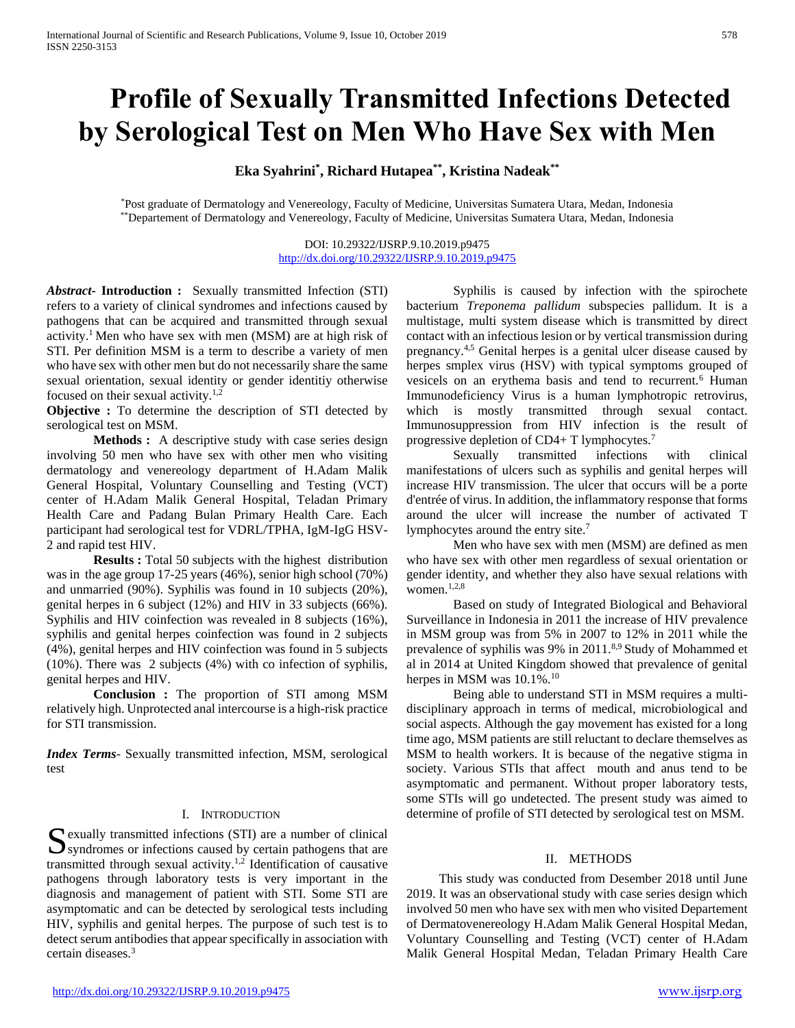# **Profile of Sexually Transmitted Infections Detected by Serological Test on Men Who Have Sex with Men**

**Eka Syahrini\* , Richard Hutapea\*\*, Kristina Nadeak\*\***

\*Post graduate of Dermatology and Venereology, Faculty of Medicine, Universitas Sumatera Utara, Medan, Indonesia \*\*Departement of Dermatology and Venereology, Faculty of Medicine, Universitas Sumatera Utara, Medan, Indonesia

> DOI: 10.29322/IJSRP.9.10.2019.p9475 <http://dx.doi.org/10.29322/IJSRP.9.10.2019.p9475>

*Abstract***- Introduction :** Sexually transmitted Infection (STI) refers to a variety of clinical syndromes and infections caused by pathogens that can be acquired and transmitted through sexual activity.<sup>1</sup> Men who have sex with men (MSM) are at high risk of STI. Per definition MSM is a term to describe a variety of men who have sex with other men but do not necessarily share the same sexual orientation, sexual identity or gender identitiy otherwise focused on their sexual activity.1,2

**Objective :** To determine the description of STI detected by serological test on MSM.

**Methods :** A descriptive study with case series design involving 50 men who have sex with other men who visiting dermatology and venereology department of H.Adam Malik General Hospital, Voluntary Counselling and Testing (VCT) center of H.Adam Malik General Hospital, Teladan Primary Health Care and Padang Bulan Primary Health Care. Each participant had serological test for VDRL/TPHA, IgM-IgG HSV-2 and rapid test HIV.

**Results :** Total 50 subjects with the highest distribution was in the age group 17-25 years (46%), senior high school (70%) and unmarried (90%). Syphilis was found in 10 subjects (20%), genital herpes in 6 subject (12%) and HIV in 33 subjects (66%). Syphilis and HIV coinfection was revealed in 8 subjects (16%), syphilis and genital herpes coinfection was found in 2 subjects (4%), genital herpes and HIV coinfection was found in 5 subjects (10%). There was 2 subjects (4%) with co infection of syphilis, genital herpes and HIV.

**Conclusion :** The proportion of STI among MSM relatively high. Unprotected anal intercourse is a high-risk practice for STI transmission.

*Index Terms*- Sexually transmitted infection, MSM, serological test

## I. INTRODUCTION

 $\Gamma$  exually transmitted infections (STI) are a number of clinical Sexually transmitted infections (STI) are a number of clinical syndromes or infections caused by certain pathogens that are transmitted through sexual activity.<sup>1,2</sup> Identification of causative pathogens through laboratory tests is very important in the diagnosis and management of patient with STI. Some STI are asymptomatic and can be detected by serological tests including HIV, syphilis and genital herpes. The purpose of such test is to detect serum antibodies that appear specifically in association with certain diseases.<sup>3</sup>

Syphilis is caused by infection with the spirochete bacterium *Treponema pallidum* subspecies pallidum. It is a multistage, multi system disease which is transmitted by direct contact with an infectious lesion or by vertical transmission during pregnancy.4,5 Genital herpes is a genital ulcer disease caused by herpes smplex virus (HSV) with typical symptoms grouped of vesicels on an erythema basis and tend to recurrent.<sup>6</sup> Human Immunodeficiency Virus is a human lymphotropic retrovirus, which is mostly transmitted through sexual contact. Immunosuppression from HIV infection is the result of progressive depletion of CD4+ T lymphocytes.<sup>7</sup>

Sexually transmitted infections with clinical manifestations of ulcers such as syphilis and genital herpes will increase HIV transmission. The ulcer that occurs will be a porte d'entrée of virus. In addition, the inflammatory response that forms around the ulcer will increase the number of activated T lymphocytes around the entry site.<sup>7</sup>

Men who have sex with men (MSM) are defined as men who have sex with other men regardless of sexual orientation or gender identity, and whether they also have sexual relations with women.<sup>1,2,8</sup>

Based on study of Integrated Biological and Behavioral Surveillance in Indonesia in 2011 the increase of HIV prevalence in MSM group was from 5% in 2007 to 12% in 2011 while the prevalence of syphilis was 9% in 2011.<sup>8,9</sup> Study of Mohammed et al in 2014 at United Kingdom showed that prevalence of genital herpes in MSM was  $10.1\%$ .<sup>10</sup>

Being able to understand STI in MSM requires a multidisciplinary approach in terms of medical, microbiological and social aspects. Although the gay movement has existed for a long time ago, MSM patients are still reluctant to declare themselves as MSM to health workers. It is because of the negative stigma in society. Various STIs that affect mouth and anus tend to be asymptomatic and permanent. Without proper laboratory tests, some STIs will go undetected. The present study was aimed to determine of profile of STI detected by serological test on MSM.

#### II. METHODS

 This study was conducted from Desember 2018 until June 2019. It was an observational study with case series design which involved 50 men who have sex with men who visited Departement of Dermatovenereology H.Adam Malik General Hospital Medan, Voluntary Counselling and Testing (VCT) center of H.Adam Malik General Hospital Medan, Teladan Primary Health Care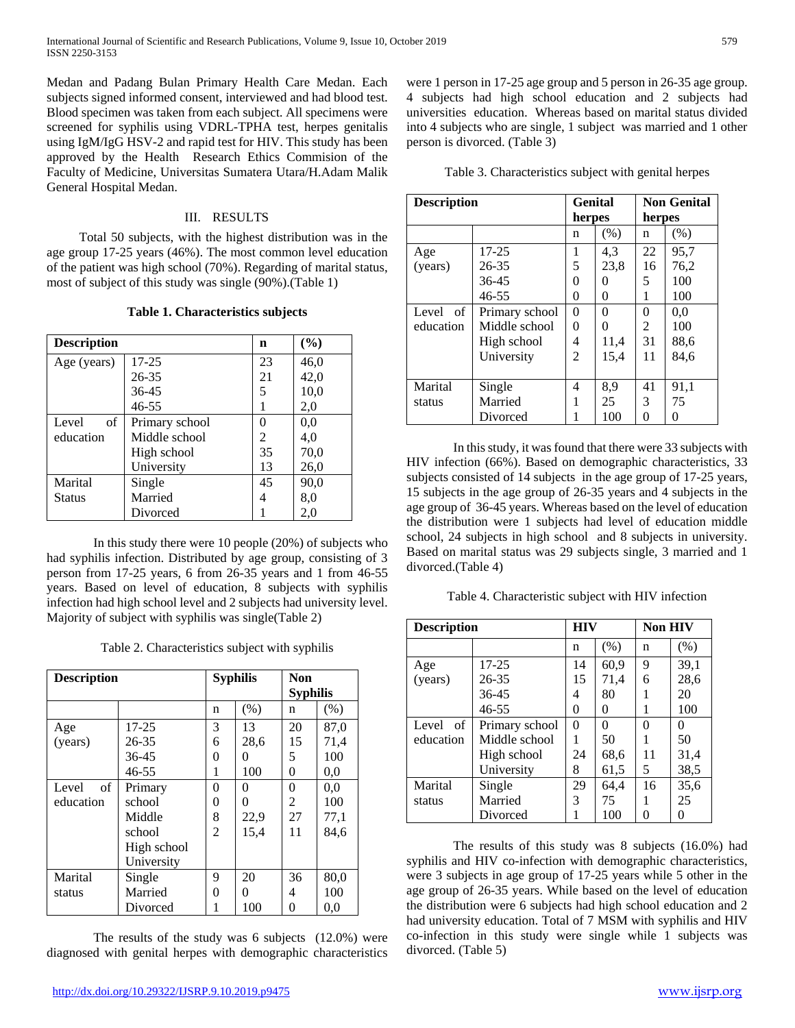Medan and Padang Bulan Primary Health Care Medan. Each subjects signed informed consent, interviewed and had blood test. Blood specimen was taken from each subject. All specimens were screened for syphilis using VDRL-TPHA test, herpes genitalis using IgM/IgG HSV-2 and rapid test for HIV. This study has been approved by the Health Research Ethics Commision of the Faculty of Medicine, Universitas Sumatera Utara/H.Adam Malik General Hospital Medan.

# III. RESULTS

 Total 50 subjects, with the highest distribution was in the age group 17-25 years (46%). The most common level education of the patient was high school (70%). Regarding of marital status, most of subject of this study was single (90%).(Table 1)

|  | Table 1. Characteristics subjects |  |
|--|-----------------------------------|--|
|--|-----------------------------------|--|

| <b>Description</b> |                | n  | (%)  |
|--------------------|----------------|----|------|
| Age (years)        | $17 - 25$      | 23 | 46,0 |
|                    | $26 - 35$      | 21 | 42,0 |
|                    | $36 - 45$      | 5  | 10,0 |
|                    | $46 - 55$      |    | 2,0  |
| Level<br>of        | Primary school | 0  | 0.0  |
| education          | Middle school  | 2  | 4,0  |
|                    | High school    | 35 | 70,0 |
|                    | University     | 13 | 26,0 |
| Marital            | Single         | 45 | 90,0 |
| <b>Status</b>      | Married        | 4  | 8,0  |
|                    | Divorced       |    | 2,0  |

In this study there were 10 people (20%) of subjects who had syphilis infection. Distributed by age group, consisting of 3 person from 17-25 years, 6 from 26-35 years and 1 from 46-55 years. Based on level of education, 8 subjects with syphilis infection had high school level and 2 subjects had university level. Majority of subject with syphilis was single(Table 2)

Table 2. Characteristics subject with syphilis

| <b>Description</b> |             |                | <b>Syphilis</b> |          | <b>Syphilis</b> |
|--------------------|-------------|----------------|-----------------|----------|-----------------|
|                    |             | n              | (% )            | n        | (% )            |
| Age                | $17 - 25$   | 3              | 13              | 20       | 87,0            |
| (years)            | 26-35       | 6              | 28,6            | 15       | 71,4            |
|                    | 36-45       | 0              | $^{(1)}$        | 5        | 100             |
|                    | 46-55       | 1              | 100             | 0        | 0.0             |
| of<br>Level        | Primary     | $\Omega$       | 0               | $\theta$ | 0.0             |
| education          | school      | 0              | 0               | 2        | 100             |
|                    | Middle      | 8              | 22,9            | 27       | 77,1            |
|                    | school      | $\overline{2}$ | 15,4            | 11       | 84.6            |
|                    | High school |                |                 |          |                 |
|                    | University  |                |                 |          |                 |
| Marital            | Single      | 9              | 20              | 36       | 80,0            |
| status             | Married     | 0              | 0               | 4        | 100             |
|                    | Divorced    |                | 100             | 0        | 0.0             |

The results of the study was 6 subjects (12.0%) were diagnosed with genital herpes with demographic characteristics

were 1 person in 17-25 age group and 5 person in 26-35 age group. 4 subjects had high school education and 2 subjects had universities education. Whereas based on marital status divided into 4 subjects who are single, 1 subject was married and 1 other person is divorced. (Table 3)

| <b>Description</b> |                | Genital  |          | <b>Non Genital</b> |      |
|--------------------|----------------|----------|----------|--------------------|------|
|                    |                | herpes   |          | herpes             |      |
|                    |                | n        | (% )     | n                  | (% ) |
| Age                | $17 - 25$      | 1        | 4.3      | 22                 | 95,7 |
| (years)            | $26 - 35$      | 5        | 23,8     | 16                 | 76,2 |
|                    | $36 - 45$      | 0        | 0        | 5                  | 100  |
|                    | $46 - 55$      | $\theta$ | 0        | 1                  | 100  |
| Level<br>- of      | Primary school | 0        | $\Omega$ | 0                  | 0.0  |
| education          | Middle school  | 0        | 0        | 2                  | 100  |
|                    | High school    | 4        | 11,4     | 31                 | 88,6 |
|                    | University     | 2        | 15,4     | 11                 | 84,6 |
|                    |                |          |          |                    |      |
| Marital            | Single         | 4        | 8,9      | 41                 | 91,1 |
| status             | Married        |          | 25       | 3                  | 75   |
|                    | Divorced       |          | 100      | 0                  | 0    |

In this study, it was found that there were 33 subjects with HIV infection (66%). Based on demographic characteristics, 33 subjects consisted of 14 subjects in the age group of 17-25 years, 15 subjects in the age group of 26-35 years and 4 subjects in the age group of 36-45 years. Whereas based on the level of education the distribution were 1 subjects had level of education middle school, 24 subjects in high school and 8 subjects in university. Based on marital status was 29 subjects single, 3 married and 1 divorced.(Table 4)

Table 4. Characteristic subject with HIV infection

| <b>Description</b> |                | <b>HIV</b> |               | <b>Non HIV</b> |          |
|--------------------|----------------|------------|---------------|----------------|----------|
|                    |                | n          | (% )          | n              | (% )     |
| Age                | $17 - 25$      | 14         | 60,9          | 9              | 39,1     |
| (years)            | $26 - 35$      | 15         | 71,4          | 6              | 28,6     |
|                    | $36 - 45$      | 4          | 80            |                | 20       |
|                    | $46 - 55$      | 0          | $\theta$      |                | 100      |
| of<br>Level        | Primary school | 0          | $\mathcal{O}$ | 0              | $\Omega$ |
| education          | Middle school  |            | 50            |                | 50       |
|                    | High school    | 24         | 68,6          | 11             | 31,4     |
|                    | University     | 8          | 61,5          | 5              | 38,5     |
| Marital            | Single         | 29         | 64,4          | 16             | 35,6     |
| status             | Married        | 3          | 75            |                | 25       |
|                    | Divorced       |            | 100           |                |          |

The results of this study was 8 subjects (16.0%) had syphilis and HIV co-infection with demographic characteristics, were 3 subjects in age group of 17-25 years while 5 other in the age group of 26-35 years. While based on the level of education the distribution were 6 subjects had high school education and 2 had university education. Total of 7 MSM with syphilis and HIV co-infection in this study were single while 1 subjects was divorced. (Table 5)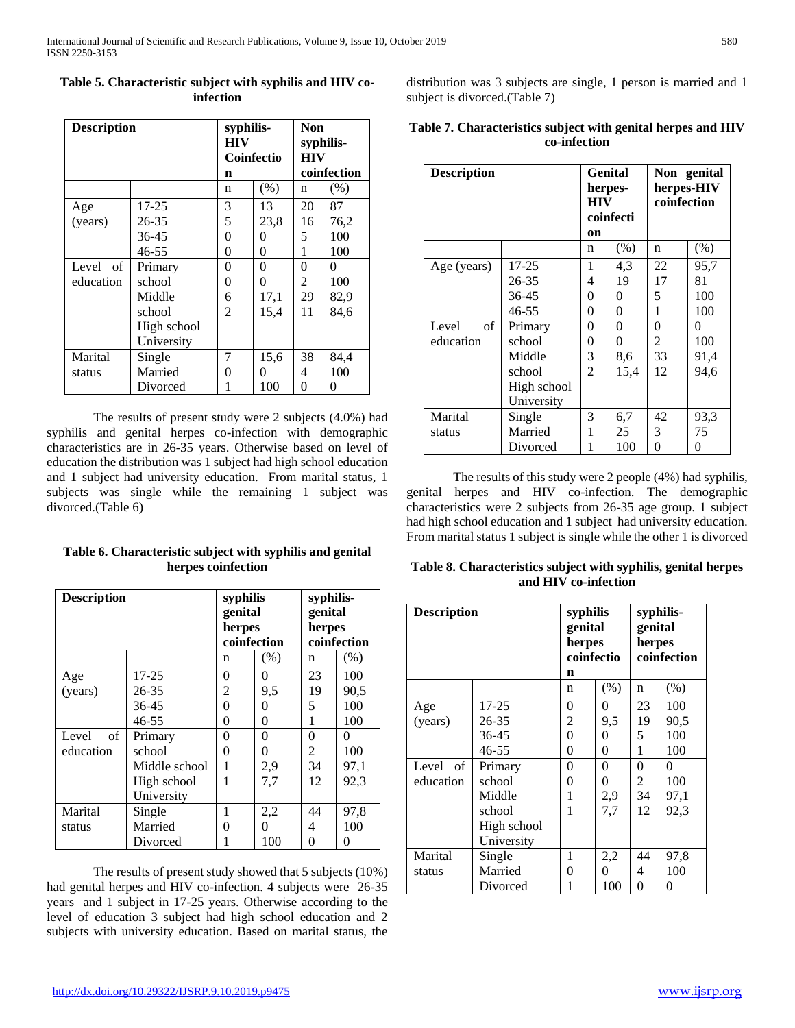| <b>Description</b> |             | syphilis-<br><b>HIV</b><br>Coinfectio<br>n |          | Non<br>syphilis-<br><b>HIV</b><br>coinfection |      |
|--------------------|-------------|--------------------------------------------|----------|-----------------------------------------------|------|
|                    |             | n                                          | (% )     | n                                             | (% ) |
| Age                | 17-25       | 3                                          | 13       | 20                                            | 87   |
| (years)            | 26-35       | 5                                          | 23,8     | 16                                            | 76,2 |
|                    | 36-45       | 0                                          | 0        | 5                                             | 100  |
|                    | 46-55       | 0                                          | 0        | 1                                             | 100  |
| Level of           | Primary     | 0                                          | $\theta$ | 0                                             | 0    |
| education          | school      | 0                                          | 0        | 2                                             | 100  |
|                    | Middle      | 6                                          | 17,1     | 29                                            | 82,9 |
|                    | school      | 2                                          | 15,4     | 11                                            | 84.6 |
|                    | High school |                                            |          |                                               |      |
|                    | University  |                                            |          |                                               |      |
| Marital            | Single      | 7                                          | 15,6     | 38                                            | 84,4 |
| status             | Married     | 0                                          | 0        | 4                                             | 100  |
|                    | Divorced    | 1                                          | 100      | 0                                             | 0    |

# **Table 5. Characteristic subject with syphilis and HIV coinfection**

The results of present study were 2 subjects (4.0%) had syphilis and genital herpes co-infection with demographic characteristics are in 26-35 years. Otherwise based on level of education the distribution was 1 subject had high school education and 1 subject had university education. From marital status, 1 subjects was single while the remaining 1 subject was divorced.(Table 6)

# **Table 6. Characteristic subject with syphilis and genital herpes coinfection**

| <b>Description</b> |               | syphilis<br>genital<br>herpes<br>coinfection |      | syphilis-<br>genital<br>herpes<br>coinfection |      |
|--------------------|---------------|----------------------------------------------|------|-----------------------------------------------|------|
|                    |               | n                                            | (% ) | n                                             | (% ) |
| Age                | $17 - 25$     | 0                                            | 0    | 23                                            | 100  |
| (years)            | 26-35         | $\overline{c}$                               | 9,5  | 19                                            | 90,5 |
|                    | 36-45         | 0                                            | 0    | 5                                             | 100  |
|                    | $46 - 55$     | 0                                            | 0    | 1                                             | 100  |
| of<br>Level        | Primary       | 0                                            | 0    | $\Omega$                                      | 0    |
| education          | school        | 0                                            | 0    | 2                                             | 100  |
|                    | Middle school |                                              | 2,9  | 34                                            | 97,1 |
|                    | High school   | 1                                            | 7,7  | 12                                            | 92,3 |
|                    | University    |                                              |      |                                               |      |
| Marital            | Single        | 1                                            | 2,2  | 44                                            | 97,8 |
| status             | Married       | 0                                            | 0    | 4                                             | 100  |
|                    | Divorced      |                                              | 100  | 0                                             | 0    |

The results of present study showed that 5 subjects (10%) had genital herpes and HIV co-infection. 4 subjects were 26-35 years and 1 subject in 17-25 years. Otherwise according to the level of education 3 subject had high school education and 2 subjects with university education. Based on marital status, the distribution was 3 subjects are single, 1 person is married and 1 subject is divorced.(Table 7)

# **Table 7. Characteristics subject with genital herpes and HIV co-infection**

| <b>Description</b>  |             | Genital<br>herpes-<br><b>HIV</b><br>coinfecti<br>on |          | Non genital<br>herpes-HIV<br>coinfection |      |
|---------------------|-------------|-----------------------------------------------------|----------|------------------------------------------|------|
|                     |             | n                                                   | (% )     | n                                        | (% ) |
| Age (years)         | $17 - 25$   | 1                                                   | 4,3      | 22                                       | 95,7 |
|                     | 26-35       | 4                                                   | 19       | 17                                       | 81   |
|                     | 36-45       | 0                                                   | 0        | 5                                        | 100  |
|                     | 46-55       | 0                                                   | $\theta$ | 1                                        | 100  |
| $\sigma$ f<br>Level | Primary     | 0                                                   | $\theta$ | 0                                        | 0    |
| education           | school      | 0                                                   | 0        | 2                                        | 100  |
|                     | Middle      | 3                                                   | 8,6      | 33                                       | 91,4 |
|                     | school      | $\overline{2}$                                      | 15,4     | 12                                       | 94,6 |
|                     | High school |                                                     |          |                                          |      |
|                     | University  |                                                     |          |                                          |      |
| Marital             | Single      | 3                                                   | 6,7      | 42                                       | 93,3 |
| status              | Married     |                                                     | 25       | 3                                        | 75   |
|                     | Divorced    | 1                                                   | 100      | 0                                        | 0    |

The results of this study were 2 people (4%) had syphilis, genital herpes and HIV co-infection. The demographic characteristics were 2 subjects from 26-35 age group. 1 subject had high school education and 1 subject had university education. From marital status 1 subject is single while the other 1 is divorced

**Table 8. Characteristics subject with syphilis, genital herpes and HIV co-infection**

| <b>Description</b> |             | syphilis<br>genital<br>herpes<br>coinfectio<br>n |      | syphilis-<br>genital<br>herpes<br>coinfection |      |
|--------------------|-------------|--------------------------------------------------|------|-----------------------------------------------|------|
|                    |             | n                                                | (% ) | n                                             | (% ) |
| Age                | 17-25       | 0                                                | 0    | 23                                            | 100  |
| (years)            | 26-35       | 2                                                | 9,5  | 19                                            | 90,5 |
|                    | $36 - 45$   | $\theta$                                         | 0    | 5                                             | 100  |
|                    | 46-55       | 0                                                | 0    | 1                                             | 100  |
| Level of           | Primary     | $\theta$                                         | 0    | $\overline{0}$                                | 0    |
| education          | school      | 0                                                | 0    | 2                                             | 100  |
|                    | Middle      | 1                                                | 2,9  | 34                                            | 97,1 |
|                    | school      | 1                                                | 7,7  | 12                                            | 92,3 |
|                    | High school |                                                  |      |                                               |      |
|                    | University  |                                                  |      |                                               |      |
| Marital            | Single      | 1                                                | 2,2  | 44                                            | 97,8 |
| status             | Married     | 0                                                | 0    | 4                                             | 100  |
|                    | Divorced    |                                                  | 100  | 0                                             | 0    |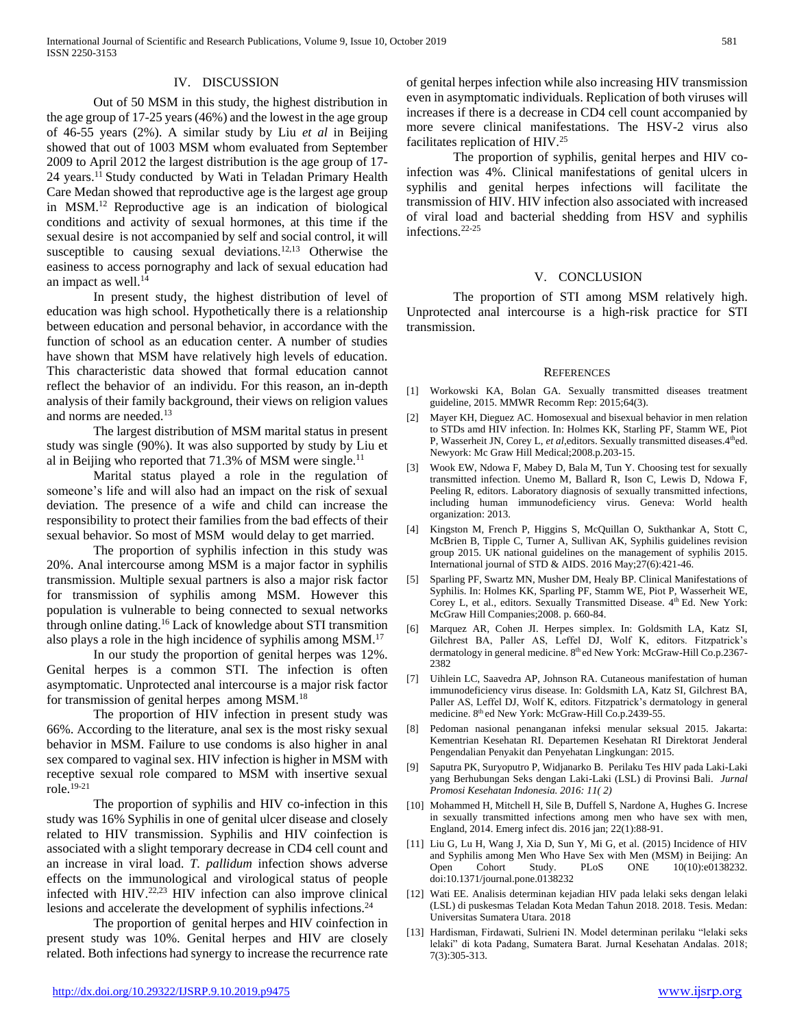### IV. DISCUSSION

Out of 50 MSM in this study, the highest distribution in the age group of 17-25 years (46%) and the lowest in the age group of 46-55 years (2%). A similar study by Liu *et al* in Beijing showed that out of 1003 MSM whom evaluated from September 2009 to April 2012 the largest distribution is the age group of 17- 24 years.<sup>11</sup> Study conducted by Wati in Teladan Primary Health Care Medan showed that reproductive age is the largest age group in MSM.<sup>12</sup> Reproductive age is an indication of biological conditions and activity of sexual hormones, at this time if the sexual desire is not accompanied by self and social control, it will susceptible to causing sexual deviations. $12,13$  Otherwise the easiness to access pornography and lack of sexual education had an impact as well.<sup>14</sup>

In present study, the highest distribution of level of education was high school. Hypothetically there is a relationship between education and personal behavior, in accordance with the function of school as an education center. A number of studies have shown that MSM have relatively high levels of education. This characteristic data showed that formal education cannot reflect the behavior of an individu. For this reason, an in-depth analysis of their family background, their views on religion values and norms are needed.<sup>13</sup>

The largest distribution of MSM marital status in present study was single (90%). It was also supported by study by Liu et al in Beijing who reported that  $71.3\%$  of MSM were single.<sup>11</sup>

Marital status played a role in the regulation of someone's life and will also had an impact on the risk of sexual deviation. The presence of a wife and child can increase the responsibility to protect their families from the bad effects of their sexual behavior. So most of MSM would delay to get married.

The proportion of syphilis infection in this study was 20%. Anal intercourse among MSM is a major factor in syphilis transmission. Multiple sexual partners is also a major risk factor for transmission of syphilis among MSM. However this population is vulnerable to being connected to sexual networks through online dating.<sup>16</sup> Lack of knowledge about STI transmition also plays a role in the high incidence of syphilis among MSM.<sup>17</sup>

In our study the proportion of genital herpes was 12%. Genital herpes is a common STI. The infection is often asymptomatic. Unprotected anal intercourse is a major risk factor for transmission of genital herpes among MSM.<sup>18</sup>

The proportion of HIV infection in present study was 66%. According to the literature, anal sex is the most risky sexual behavior in MSM. Failure to use condoms is also higher in anal sex compared to vaginal sex. HIV infection is higher in MSM with receptive sexual role compared to MSM with insertive sexual role.19-21

The proportion of syphilis and HIV co-infection in this study was 16% Syphilis in one of genital ulcer disease and closely related to HIV transmission. Syphilis and HIV coinfection is associated with a slight temporary decrease in CD4 cell count and an increase in viral load. *T. pallidum* infection shows adverse effects on the immunological and virological status of people infected with HIV.22,23 HIV infection can also improve clinical lesions and accelerate the development of syphilis infections.<sup>24</sup>

The proportion of genital herpes and HIV coinfection in present study was 10%. Genital herpes and HIV are closely related. Both infections had synergy to increase the recurrence rate of genital herpes infection while also increasing HIV transmission even in asymptomatic individuals. Replication of both viruses will increases if there is a decrease in CD4 cell count accompanied by more severe clinical manifestations. The HSV-2 virus also facilitates replication of HIV.<sup>25</sup>

The proportion of syphilis, genital herpes and HIV coinfection was 4%. Clinical manifestations of genital ulcers in syphilis and genital herpes infections will facilitate the transmission of HIV. HIV infection also associated with increased of viral load and bacterial shedding from HSV and syphilis infections.22-25

#### V. CONCLUSION

The proportion of STI among MSM relatively high. Unprotected anal intercourse is a high-risk practice for STI transmission.

#### **REFERENCES**

- [1] Workowski KA, Bolan GA. Sexually transmitted diseases treatment guideline, 2015. MMWR Recomm Rep: 2015;64(3).
- [2] Mayer KH, Dieguez AC. Homosexual and bisexual behavior in men relation to STDs amd HIV infection. In: Holmes KK, Starling PF, Stamm WE, Piot P, Wasserheit JN, Corey L, et al, editors. Sexually transmitted diseases. 4<sup>th</sup>ed. Newyork: Mc Graw Hill Medical;2008.p.203-15.
- [3] Wook EW, Ndowa F, Mabey D, Bala M, Tun Y. Choosing test for sexually transmitted infection. Unemo M, Ballard R, Ison C, Lewis D, Ndowa F, Peeling R, editors. Laboratory diagnosis of sexually transmitted infections, including human immunodeficiency virus. Geneva: World health organization: 2013.
- [4] Kingston M, French P, Higgins S, McQuillan O, Sukthankar A, Stott C, McBrien B, Tipple C, Turner A, Sullivan AK, Syphilis guidelines revision group 2015. UK national guidelines on the management of syphilis 2015. International journal of STD & AIDS. 2016 May;27(6):421-46.
- [5] Sparling PF, Swartz MN, Musher DM, Healy BP. Clinical Manifestations of Syphilis. In: Holmes KK, Sparling PF, Stamm WE, Piot P, Wasserheit WE, Corey L, et al., editors. Sexually Transmitted Disease. 4th Ed. New York: McGraw Hill Companies;2008. p. 660-84.
- [6] Marquez AR, Cohen JI. Herpes simplex. In: Goldsmith LA, Katz SI, Gilchrest BA, Paller AS, Leffel DJ, Wolf K, editors. Fitzpatrick's dermatology in general medicine. 8<sup>th</sup> ed New York: McGraw-Hill Co.p.2367-2382
- [7] Uihlein LC, Saavedra AP, Johnson RA. Cutaneous manifestation of human immunodeficiency virus disease. In: Goldsmith LA, Katz SI, Gilchrest BA, Paller AS, Leffel DJ, Wolf K, editors. Fitzpatrick's dermatology in general medicine. 8<sup>th</sup> ed New York: McGraw-Hill Co.p.2439-55.
- [8] Pedoman nasional penanganan infeksi menular seksual 2015. Jakarta: Kementrian Kesehatan RI. Departemen Kesehatan RI Direktorat Jenderal Pengendalian Penyakit dan Penyehatan Lingkungan: 2015.
- [9] Saputra PK, Suryoputro P, Widjanarko B. Perilaku Tes HIV pada Laki-Laki yang Berhubungan Seks dengan Laki-Laki (LSL) di Provinsi Bali. *Jurnal Promosi Kesehatan Indonesia. 2016: 11( 2)*
- [10] Mohammed H, Mitchell H, Sile B, Duffell S, Nardone A, Hughes G. Increse in sexually transmitted infections among men who have sex with men, England, 2014. Emerg infect dis. 2016 jan; 22(1):88-91.
- [11] Liu G, Lu H, Wang J, Xia D, Sun Y, Mi G, et al. (2015) Incidence of HIV and Syphilis among Men Who Have Sex with Men (MSM) in Beijing: An Open Cohort Study. PLoS ONE 10(10):e0138232. doi:10.1371/journal.pone.0138232
- [12] Wati EE. Analisis determinan kejadian HIV pada lelaki seks dengan lelaki (LSL) di puskesmas Teladan Kota Medan Tahun 2018. 2018. Tesis. Medan: Universitas Sumatera Utara. 2018
- [13] Hardisman, Firdawati, Sulrieni IN. Model determinan perilaku "lelaki seks lelaki" di kota Padang, Sumatera Barat. Jurnal Kesehatan Andalas. 2018; 7(3):305-313.